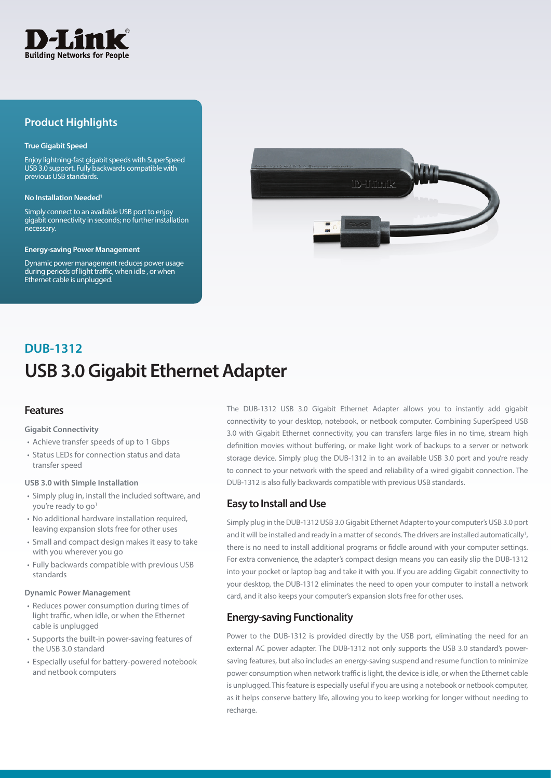

## **Product Highlights**

#### **True Gigabit Speed**

Enjoy lightning-fast gigabit speeds with SuperSpeed USB 3.0 support. Fully backwards compatible with previous USB standards.

#### **No Installation Needed**

Simply connect to an available USB port to enjoy gigabit connectivity in seconds; no further installation necessary.

#### **Energy-saving Power Management**

Dynamic power management reduces power usage during periods of light traffic, when idle , or when Ethernet cable is unplugged.



# **USB 3.0 Gigabit Ethernet Adapter DUB-1312**

## **Features**

#### **Gigabit Connectivity**

- Achieve transfer speeds of up to 1 Gbps
- Status LEDs for connection status and data transfer speed

#### **USB 3.0 with Simple Installation**

- Simply plug in, install the included software, and you're ready to go<sup>1</sup>
- No additional hardware installation required, leaving expansion slots free for other uses
- Small and compact design makes it easy to take with you wherever you go
- Fully backwards compatible with previous USB standards

#### **Dynamic Power Management**

- Reduces power consumption during times of light traffic, when idle, or when the Ethernet cable is unplugged
- Supports the built-in power-saving features of the USB 3.0 standard
- Especially useful for battery-powered notebook and netbook computers

The DUB-1312 USB 3.0 Gigabit Ethernet Adapter allows you to instantly add gigabit connectivity to your desktop, notebook, or netbook computer. Combining SuperSpeed USB 3.0 with Gigabit Ethernet connectivity, you can transfers large files in no time, stream high definition movies without buffering, or make light work of backups to a server or network storage device. Simply plug the DUB-1312 in to an available USB 3.0 port and you're ready to connect to your network with the speed and reliability of a wired gigabit connection. The DUB-1312 is also fully backwards compatible with previous USB standards.

## **Easy to Install and Use**

Simply plug in the DUB-1312 USB 3.0 Gigabit Ethernet Adapter to your computer's USB 3.0 port and it will be installed and ready in a matter of seconds. The drivers are installed automatically<sup>1</sup>, there is no need to install additional programs or fiddle around with your computer settings. For extra convenience, the adapter's compact design means you can easily slip the DUB-1312 into your pocket or laptop bag and take it with you. If you are adding Gigabit connectivity to your desktop, the DUB-1312 eliminates the need to open your computer to install a network card, and it also keeps your computer's expansion slots free for other uses.

## **Energy-saving Functionality**

Power to the DUB-1312 is provided directly by the USB port, eliminating the need for an external AC power adapter. The DUB-1312 not only supports the USB 3.0 standard's powersaving features, but also includes an energy-saving suspend and resume function to minimize power consumption when network traffic is light, the device is idle, or when the Ethernet cable is unplugged. This feature is especially useful if you are using a notebook or netbook computer, as it helps conserve battery life, allowing you to keep working for longer without needing to recharge.